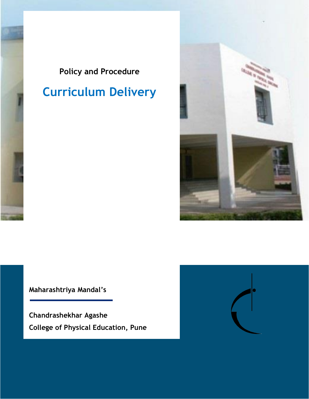# **Policy and Procedure**

# **Curriculum Delivery**



**Maharashtriya Mandal's**

**Chandrashekhar Agashe College of Physical Education, Pune**

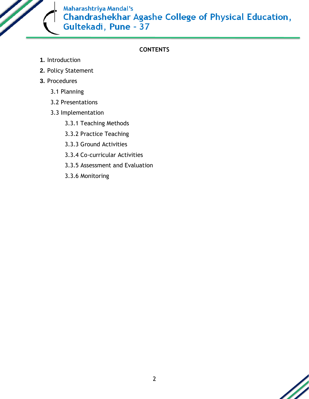

### **CONTENTS**

- **1.** Introduction
- **2.** Policy Statement
- **3.** Procedures
	- 3.1 Planning
	- 3.2 Presentations
	- 3.3 Implementation
		- 3.3.1 Teaching Methods
		- 3.3.2 Practice Teaching
		- 3.3.3 Ground Activities
		- 3.3.4 Co-curricular Activities
		- 3.3.5 Assessment and Evaluation
		- 3.3.6 Monitoring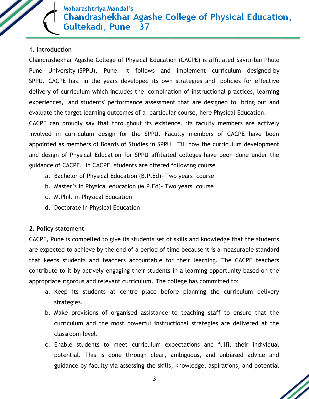

#### **1. Introduction**

Chandrashekhar Agashe College of Physical Education (CACPE) is affiliated Savitribai Phule Pune University (SPPU), Pune. It follows and implement curriculum designed by SPPU. CACPE has, in the years developed its own strategies and policies for effective delivery of curriculum which includes the combination of instructional practices, learning experiences, and students' performance assessment that are designed to bring out and evaluate the target learning outcomes of a particular course, here Physical Education.

CACPE can proudly say that throughout its existence, its faculty members are actively involved in curriculum design for the SPPU. Faculty members of CACPE have been appointed as members of Boards of Studies in SPPU. Till now the curriculum development and design of Physical Education for SPPU affiliated colleges have been done under the guidance of CACPE. In CACPE, students are offered following course

- a. Bachelor of Physical Education (B.P.Ed)- Two years course
- b. Master's in Physical education (M.P.Ed)- Two years course
- c. M.Phil. in Physical Education
- d. Doctorate in Physical Education

#### **2. Policy statement**

CACPE, Pune is compelled to give its students set of skills and knowledge that the students are expected to achieve by the end of a period of time because it is a measurable standard that keeps students and teachers accountable for their learning. The CACPE teachers contribute to it by actively engaging their students in a learning opportunity based on the appropriate rigorous and relevant curriculum. The college has committed to:

- a. Keep its students at centre place before planning the curriculum delivery strategies.
- b. Make provisions of organised assistance to teaching staff to ensure that the curriculum and the most powerful instructional strategies are delivered at the classroom level.
- c. Enable students to meet curriculum expectations and fulfil their individual potential. This is done through clear, ambiguous, and unbiased advice and guidance by faculty via assessing the skills, knowledge, aspirations, and potential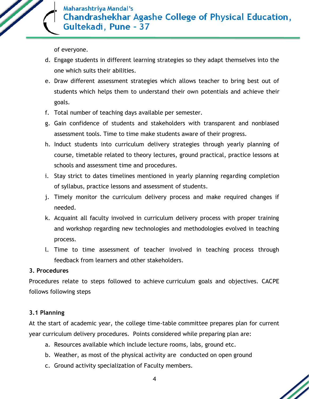

of everyone.

- d. Engage students in different learning strategies so they adapt themselves into the one which suits their abilities.
- e. Draw different assessment strategies which allows teacher to bring best out of students which helps them to understand their own potentials and achieve their goals.
- f. Total number of teaching days available per semester.
- g. Gain confidence of students and stakeholders with transparent and nonbiased assessment tools. Time to time make students aware of their progress.
- h. Induct students into curriculum delivery strategies through yearly planning of course, timetable related to theory lectures, ground practical, practice lessons at schools and assessment time and procedures.
- i. Stay strict to dates timelines mentioned in yearly planning regarding completion of syllabus, practice lessons and assessment of students.
- j. Timely monitor the curriculum delivery process and make required changes if needed.
- k. Acquaint all faculty involved in curriculum delivery process with proper training and workshop regarding new technologies and methodologies evolved in teaching process.
- l. Time to time assessment of teacher involved in teaching process through feedback from learners and other stakeholders.

## **3. Procedures**

Procedures relate to steps followed to achieve curriculum goals and objectives. CACPE follows following steps

## **3.1 Planning**

At the start of academic year, the college time-table committee prepares plan for current year curriculum delivery procedures. Points considered while preparing plan are:

- a. Resources available which include lecture rooms, labs, ground etc.
- b. Weather, as most of the physical activity are conducted on open ground
- c. Ground activity specialization of Faculty members.

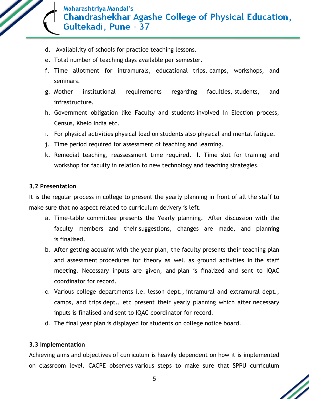

- d. Availability of schools for practice teaching lessons.
- e. Total number of teaching days available per semester.
- f. Time allotment for intramurals, educational trips, camps, workshops, and seminars.
- g. Mother institutional requirements regarding faculties, students, and infrastructure.
- h. Government obligation like Faculty and students involved in Election process, Census, Khelo India etc.
- i. For physical activities physical load on students also physical and mental fatigue.
- j. Time period required for assessment of teaching and learning.
- k. Remedial teaching, reassessment time required. l. Time slot for training and workshop for faculty in relation to new technology and teaching strategies.

#### **3.2 Presentation**

It is the regular process in college to present the yearly planning in front of all the staff to make sure that no aspect related to curriculum delivery is left.

- a. Time-table committee presents the Yearly planning. After discussion with the faculty members and their suggestions, changes are made, and planning is finalised.
- b. After getting acquaint with the year plan, the faculty presents their teaching plan and assessment procedures for theory as well as ground activities in the staff meeting. Necessary inputs are given, and plan is finalized and sent to IQAC coordinator for record.
- c. Various college departments i.e. lesson dept., intramural and extramural dept., camps, and trips dept., etc present their yearly planning which after necessary inputs is finalised and sent to IQAC coordinator for record.
- d. The final year plan is displayed for students on college notice board.

#### **3.3 Implementation**

Achieving aims and objectives of curriculum is heavily dependent on how it is implemented on classroom level. CACPE observes various steps to make sure that SPPU curriculum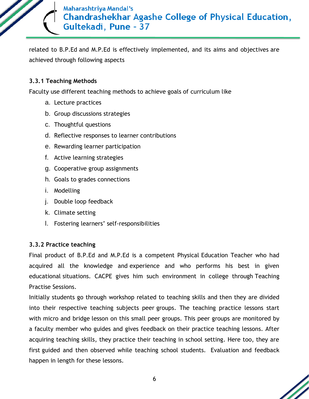related to B.P.Ed and M.P.Ed is effectively implemented, and its aims and objectives are achieved through following aspects

#### **3.3.1 Teaching Methods**

Faculty use different teaching methods to achieve goals of curriculum like

- a. Lecture practices
- b. Group discussions strategies
- c. Thoughtful questions
- d. Reflective responses to learner contributions
- e. Rewarding learner participation
- f. Active learning strategies
- g. Cooperative group assignments
- h. Goals to grades connections
- i. Modelling
- j. Double loop feedback
- k. Climate setting
- l. Fostering learners' self-responsibilities

#### **3.3.2 Practice teaching**

Final product of B.P.Ed and M.P.Ed is a competent Physical Education Teacher who had acquired all the knowledge and experience and who performs his best in given educational situations. CACPE gives him such environment in college through Teaching Practise Sessions.

Initially students go through workshop related to teaching skills and then they are divided into their respective teaching subjects peer groups. The teaching practice lessons start with micro and bridge lesson on this small peer groups. This peer groups are monitored by a faculty member who guides and gives feedback on their practice teaching lessons. After acquiring teaching skills, they practice their teaching in school setting. Here too, they are first guided and then observed while teaching school students. Evaluation and feedback happen in length for these lessons.

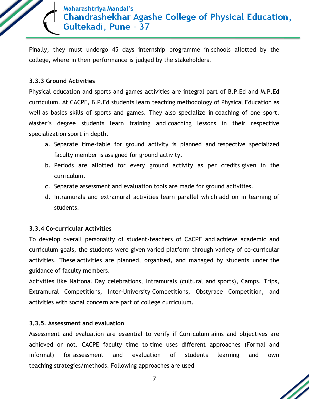Finally, they must undergo 45 days internship programme in schools allotted by the college, where in their performance is judged by the stakeholders.

#### **3.3.3 Ground Activities**

Physical education and sports and games activities are integral part of B.P.Ed and M.P.Ed curriculum. At CACPE, B.P.Ed students learn teaching methodology of Physical Education as well as basics skills of sports and games. They also specialize in coaching of one sport. Master's degree students learn training and coaching lessons in their respective specialization sport in depth.

- a. Separate time-table for ground activity is planned and respective specialized faculty member is assigned for ground activity.
- b. Periods are allotted for every ground activity as per credits given in the curriculum.
- c. Separate assessment and evaluation tools are made for ground activities.
- d. Intramurals and extramural activities learn parallel which add on in learning of students.

#### **3.3.4 Co-curricular Activities**

To develop overall personality of student-teachers of CACPE and achieve academic and curriculum goals, the students were given varied platform through variety of co-curricular activities. These activities are planned, organised, and managed by students under the guidance of faculty members.

Activities like National Day celebrations, Intramurals (cultural and sports), Camps, Trips, Extramural Competitions, Inter-University Competitions, Obstyrace Competition, and activities with social concern are part of college curriculum.

#### **3.3.5. Assessment and evaluation**

Assessment and evaluation are essential to verify if Curriculum aims and objectives are achieved or not. CACPE faculty time to time uses different approaches (Formal and informal) for assessment and evaluation of students learning and own teaching strategies/methods. Following approaches are used